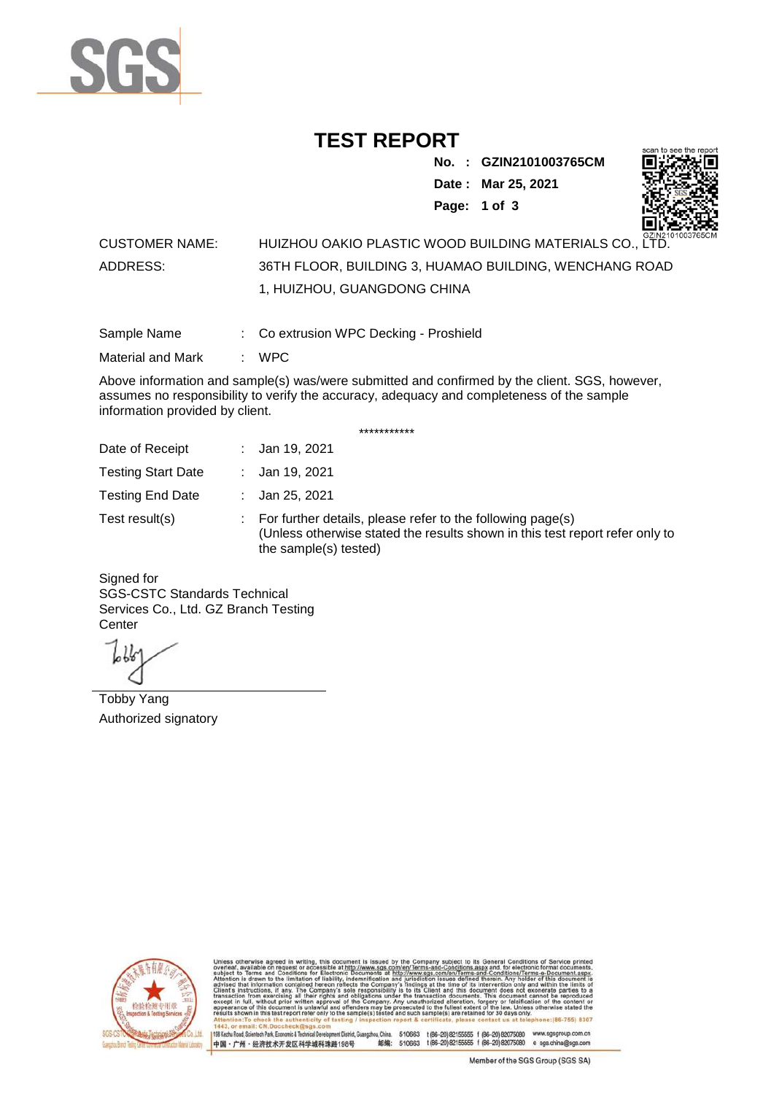

## **TEST REPORT**

**No. : GZIN2101003765CM Date : Mar 25, 2021**

**Page: 1 of 3** 



CUSTOMER NAME: HUIZHOU OAKIO PLASTIC WOOD BUILDING MATERIALS CO., LTD. ADDRESS: 36TH FLOOR, BUILDING 3, HUAMAO BUILDING, WENCHANG ROAD 1, HUIZHOU, GUANGDONG CHINA

Sample Name : Co extrusion WPC Decking - Proshield

Material and Mark : WPC

Above information and sample(s) was/were submitted and confirmed by the client. SGS, however, assumes no responsibility to verify the accuracy, adequacy and completeness of the sample information provided by client.

\*\*\*\*\*\*\*\*\*\*\*

| Date of Receipt           | : Jan 19, 2021                                                                                                                                                        |
|---------------------------|-----------------------------------------------------------------------------------------------------------------------------------------------------------------------|
| <b>Testing Start Date</b> | : Jan 19, 2021                                                                                                                                                        |
| <b>Testing End Date</b>   | : Jan 25, 2021                                                                                                                                                        |
| Test result(s)            | : For further details, please refer to the following page(s)<br>(Unless otherwise stated the results shown in this test report refer only to<br>the sample(s) tested) |

Signed for SGS-CSTC Standards Technical Services Co., Ltd. GZ Branch Testing **Center** 

Tobby Yang Authorized signatory



510663 t(86-20)82155555 f (86-20)82075080 www.sgsgroup.com.cn<br>510663 t(86-20)82155555 f (86-20)82075080 e sgs.china@sgs.com 198 Kezhu Road, Scientech Park, Eo tou, China. tomic & Tec nical Dave nt District ( 邮编: 中国·广州·经济技术开发区科学城科珠路198号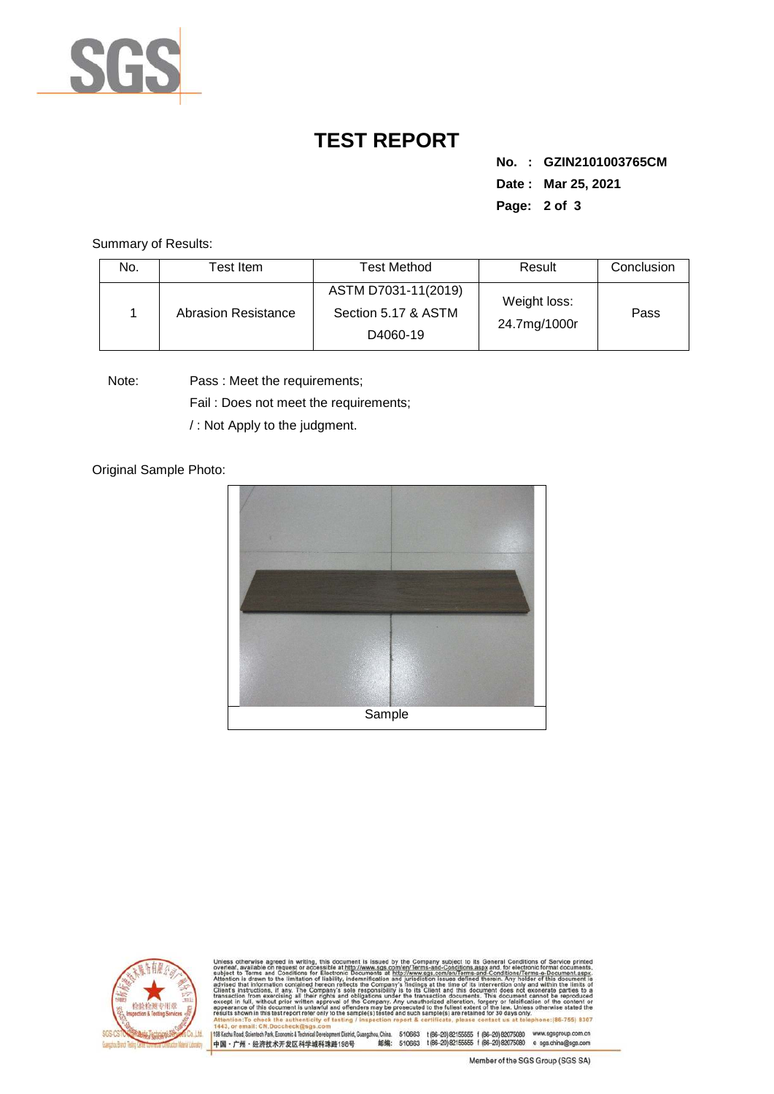

## **TEST REPORT**

**No. : GZIN2101003765CM Date : Mar 25, 2021 Page: 2 of 3** 

Summary of Results:

| No. | Test Item.                 | <b>Test Method</b>                                     | Result                       | Conclusion |
|-----|----------------------------|--------------------------------------------------------|------------------------------|------------|
|     | <b>Abrasion Resistance</b> | ASTM D7031-11(2019)<br>Section 5.17 & ASTM<br>D4060-19 | Weight loss:<br>24.7mg/1000r | Pass       |

Note: Pass : Meet the requirements;

Fail : Does not meet the requirements;

/ : Not Apply to the judgment.

Original Sample Photo:





Conditions/Terms-e-Docu<br>rein. Any holder of this o 8307